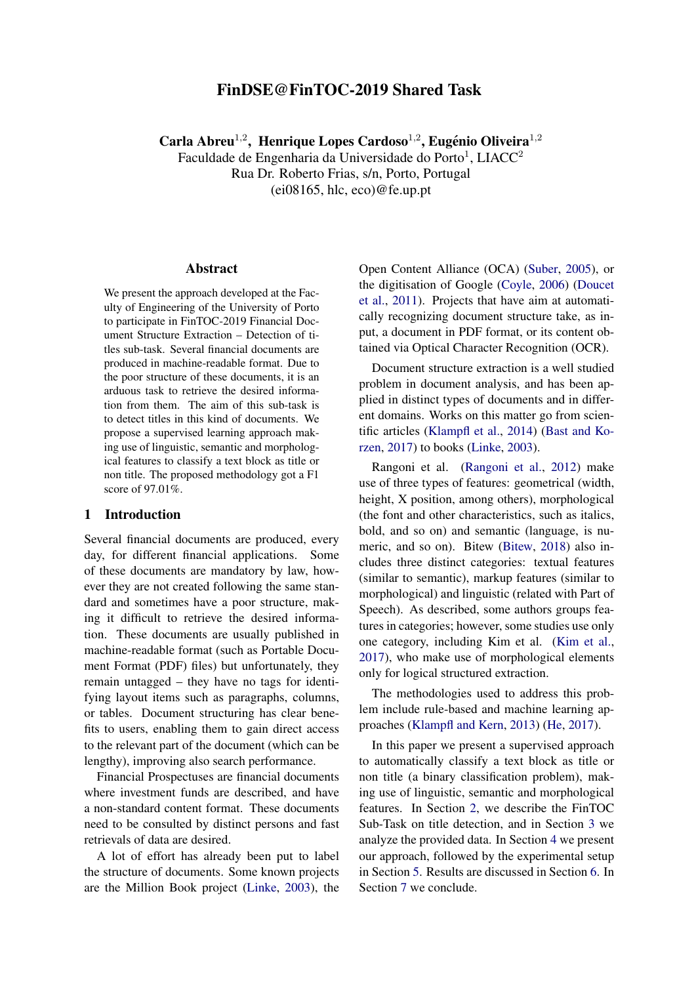# FinDSE@FinTOC-2019 Shared Task

Carla Abreu<sup>1,2</sup>, Henrique Lopes Cardoso<sup>1,2</sup>, Eugénio Oliveira<sup>1,2</sup>

Faculdade de Engenharia da Universidade do Porto<sup>1</sup>, LIACC<sup>2</sup> Rua Dr. Roberto Frias, s/n, Porto, Portugal (ei08165, hlc, eco)@fe.up.pt

#### Abstract

We present the approach developed at the Faculty of Engineering of the University of Porto to participate in FinTOC-2019 Financial Document Structure Extraction – Detection of titles sub-task. Several financial documents are produced in machine-readable format. Due to the poor structure of these documents, it is an arduous task to retrieve the desired information from them. The aim of this sub-task is to detect titles in this kind of documents. We propose a supervised learning approach making use of linguistic, semantic and morphological features to classify a text block as title or non title. The proposed methodology got a F1 score of 97.01%.

### 1 Introduction

Several financial documents are produced, every day, for different financial applications. Some of these documents are mandatory by law, however they are not created following the same standard and sometimes have a poor structure, making it difficult to retrieve the desired information. These documents are usually published in machine-readable format (such as Portable Document Format (PDF) files) but unfortunately, they remain untagged – they have no tags for identifying layout items such as paragraphs, columns, or tables. Document structuring has clear benefits to users, enabling them to gain direct access to the relevant part of the document (which can be lengthy), improving also search performance.

Financial Prospectuses are financial documents where investment funds are described, and have a non-standard content format. These documents need to be consulted by distinct persons and fast retrievals of data are desired.

A lot of effort has already been put to label the structure of documents. Some known projects are the Million Book project [\(Linke,](#page-4-0) [2003\)](#page-4-0), the Open Content Alliance (OCA) [\(Suber,](#page-4-1) [2005\)](#page-4-1), or the digitisation of Google [\(Coyle,](#page-3-0) [2006\)](#page-3-0) [\(Doucet](#page-3-1) [et al.,](#page-3-1) [2011\)](#page-3-1). Projects that have aim at automatically recognizing document structure take, as input, a document in PDF format, or its content obtained via Optical Character Recognition (OCR).

Document structure extraction is a well studied problem in document analysis, and has been applied in distinct types of documents and in different domains. Works on this matter go from scientific articles [\(Klampfl et al.,](#page-4-2) [2014\)](#page-4-2) [\(Bast and Ko](#page-3-2)[rzen,](#page-3-2) [2017\)](#page-3-2) to books [\(Linke,](#page-4-0) [2003\)](#page-4-0).

Rangoni et al. [\(Rangoni et al.,](#page-4-3) [2012\)](#page-4-3) make use of three types of features: geometrical (width, height, X position, among others), morphological (the font and other characteristics, such as italics, bold, and so on) and semantic (language, is numeric, and so on). Bitew [\(Bitew,](#page-3-3) [2018\)](#page-3-3) also includes three distinct categories: textual features (similar to semantic), markup features (similar to morphological) and linguistic (related with Part of Speech). As described, some authors groups features in categories; however, some studies use only one category, including Kim et al. [\(Kim et al.,](#page-4-4) [2017\)](#page-4-4), who make use of morphological elements only for logical structured extraction.

The methodologies used to address this problem include rule-based and machine learning approaches [\(Klampfl and Kern,](#page-4-5) [2013\)](#page-4-5) [\(He,](#page-4-6) [2017\)](#page-4-6).

In this paper we present a supervised approach to automatically classify a text block as title or non title (a binary classification problem), making use of linguistic, semantic and morphological features. In Section [2,](#page-1-0) we describe the FinTOC Sub-Task on title detection, and in Section [3](#page-1-1) we analyze the provided data. In Section [4](#page-1-2) we present our approach, followed by the experimental setup in Section [5.](#page-2-0) Results are discussed in Section [6.](#page-2-1) In Section [7](#page-3-4) we conclude.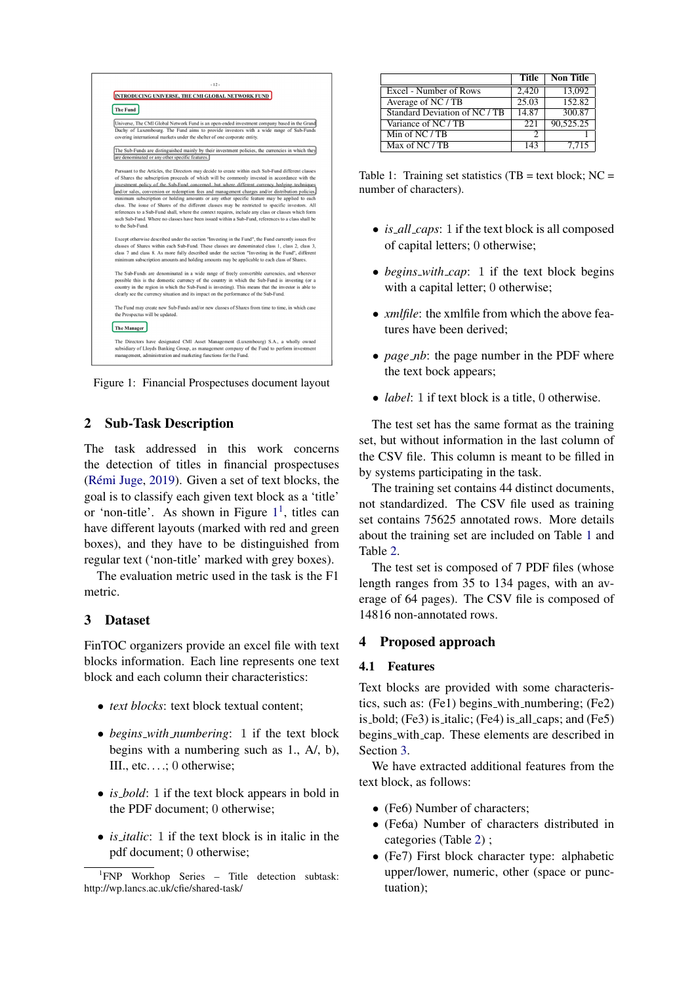<span id="page-1-3"></span>

Figure 1: Financial Prospectuses document layout

### <span id="page-1-0"></span>2 Sub-Task Description

The task addressed in this work concerns the detection of titles in financial prospectuses (Rémi Juge, [2019\)](#page-4-7). Given a set of text blocks, the goal is to classify each given text block as a 'title' or 'non-title'. As shown in Figure  $1<sup>1</sup>$  $1<sup>1</sup>$ , titles can have different layouts (marked with red and green boxes), and they have to be distinguished from regular text ('non-title' marked with grey boxes).

The evaluation metric used in the task is the F1 metric.

### <span id="page-1-1"></span>3 Dataset

FinTOC organizers provide an excel file with text blocks information. Each line represents one text block and each column their characteristics:

- *text blocks*: text block textual content;
- *begins with numbering*: 1 if the text block begins with a numbering such as 1., A/, b), III., etc. . . .; 0 otherwise;
- *is\_bold*: 1 if the text block appears in bold in the PDF document; 0 otherwise;
- *is italic*: 1 if the text block is in italic in the pdf document; 0 otherwise;

<span id="page-1-5"></span>

|                                      | Title | <b>Non Title</b>   |
|--------------------------------------|-------|--------------------|
| Excel - Number of Rows               | 2,420 | 13,092             |
| Average of NC / TB                   | 25.03 | 152.82             |
| Standard Deviation of NC / TB        | 14.87 | 300.87             |
| Variance of NC / TB                  | 22.1  | 90,525.25          |
| Min of $\overline{NC}/\overline{TB}$ |       |                    |
| Max of NC / TB                       | 143   | $\overline{7.715}$ |

Table 1: Training set statistics (TB = text block;  $NC =$ number of characters).

- *is all caps*: 1 if the text block is all composed of capital letters; 0 otherwise;
- *begins\_with\_cap*: 1 if the text block begins with a capital letter; 0 otherwise;
- *xmlfile*: the xmlfile from which the above features have been derived;
- *page\_nb*: the page number in the PDF where the text bock appears;
- *label*: 1 if text block is a title, 0 otherwise.

The test set has the same format as the training set, but without information in the last column of the CSV file. This column is meant to be filled in by systems participating in the task.

The training set contains 44 distinct documents, not standardized. The CSV file used as training set contains 75625 annotated rows. More details about the training set are included on Table [1](#page-1-5) and Table [2.](#page-2-2)

The test set is composed of 7 PDF files (whose length ranges from 35 to 134 pages, with an average of 64 pages). The CSV file is composed of 14816 non-annotated rows.

## <span id="page-1-2"></span>4 Proposed approach

### 4.1 Features

Text blocks are provided with some characteristics, such as: (Fe1) begins with numbering; (Fe2) is bold; (Fe3) is italic; (Fe4) is all caps; and (Fe5) begins with cap. These elements are described in Section [3.](#page-1-1)

We have extracted additional features from the text block, as follows:

- (Fe6) Number of characters:
- (Fe6a) Number of characters distributed in categories (Table [2\)](#page-2-2) ;
- (Fe7) First block character type: alphabetic upper/lower, numeric, other (space or punctuation);

<span id="page-1-4"></span><sup>1</sup> FNP Workhop Series – Title detection subtask: http://wp.lancs.ac.uk/cfie/shared-task/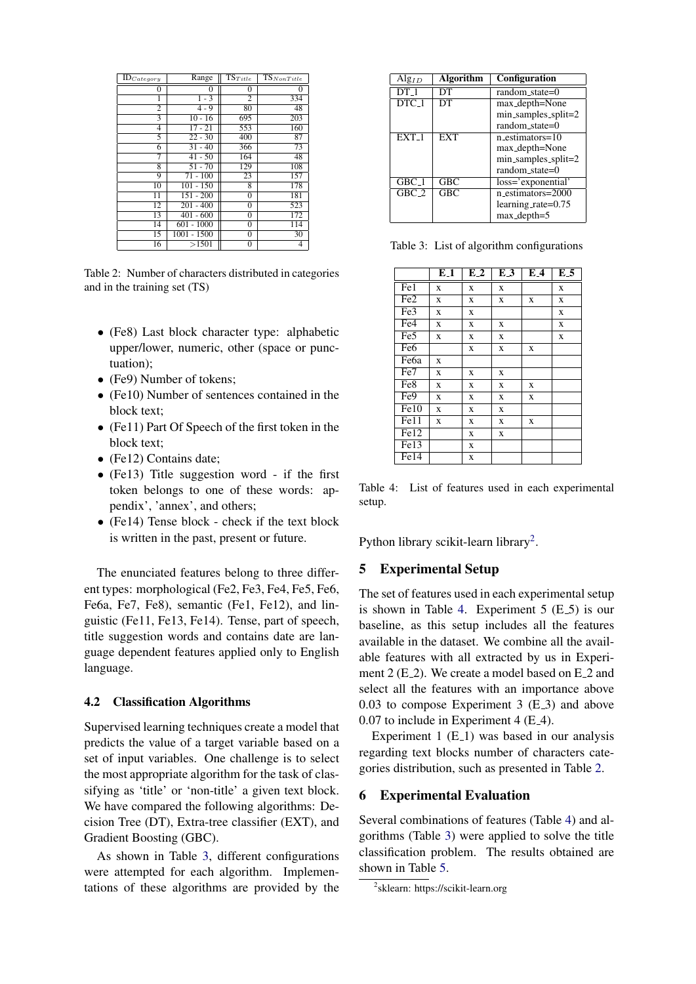<span id="page-2-2"></span>

| $\overline{\text{ID}}_{Category}$ | Range         | $\overline{\mathrm{TS}}_{Title}$ | $\overline{\mathrm{TS}}_{NonTitle}$ |
|-----------------------------------|---------------|----------------------------------|-------------------------------------|
| 0                                 | 0             | 0                                | 0                                   |
|                                   | $1 - 3$       | $\overline{c}$                   | 334                                 |
| $\overline{2}$                    | $4 - 9$       | 80                               | 48                                  |
| 3                                 | $10 - 16$     | 695                              | 203                                 |
| 4                                 | $17 - 21$     | 553                              | 160                                 |
| 5                                 | $22 - 30$     | 400                              | 87                                  |
| 6                                 | $31 - 40$     | 366                              | 73                                  |
|                                   | $41 - 50$     | 164                              | 48                                  |
| 8                                 | $51 - 70$     | 129                              | 108                                 |
| 9                                 | $71 - 100$    | 23                               | 157                                 |
| 10                                | $101 - 150$   | 8                                | 178                                 |
| 11                                | $151 - 200$   | 0                                | 181                                 |
| 12                                | $201 - 400$   | 0                                | 523                                 |
| 13                                | $401 - 600$   | 0                                | 172                                 |
| 14                                | $601 - 1000$  | 0                                | 114                                 |
| 15                                | $1001 - 1500$ | 0                                | 30                                  |
| 16                                | >1501         | 0                                | 4                                   |

Table 2: Number of characters distributed in categories and in the training set (TS)

- (Fe8) Last block character type: alphabetic upper/lower, numeric, other (space or punctuation);
- (Fe9) Number of tokens;
- (Fe10) Number of sentences contained in the block text;
- (Fe11) Part Of Speech of the first token in the block text;
- (Fe12) Contains date;
- (Fe13) Title suggestion word if the first token belongs to one of these words: appendix', 'annex', and others;
- (Fe14) Tense block check if the text block is written in the past, present or future.

The enunciated features belong to three different types: morphological (Fe2, Fe3, Fe4, Fe5, Fe6, Fe6a, Fe7, Fe8), semantic (Fe1, Fe12), and linguistic (Fe11, Fe13, Fe14). Tense, part of speech, title suggestion words and contains date are language dependent features applied only to English language.

### 4.2 Classification Algorithms

Supervised learning techniques create a model that predicts the value of a target variable based on a set of input variables. One challenge is to select the most appropriate algorithm for the task of classifying as 'title' or 'non-title' a given text block. We have compared the following algorithms: Decision Tree (DT), Extra-tree classifier (EXT), and Gradient Boosting (GBC).

As shown in Table [3,](#page-2-3) different configurations were attempted for each algorithm. Implementations of these algorithms are provided by the

<span id="page-2-3"></span>

| $\text{Alg}_{ID}$ | <b>Algorithm</b> | <b>Configuration</b>          |
|-------------------|------------------|-------------------------------|
| $DT_1$            | DТ               | $random\_state=0$             |
| DTC <sub>-1</sub> | DТ               | max_depth=None                |
|                   |                  | $min\_samples\_split = 2$     |
|                   |                  | random_state=0                |
| $EXT_1$           | <b>EXT</b>       | n_estimators=10               |
|                   |                  | max_depth=None                |
|                   |                  | $min\_samples\_split = 2$     |
|                   |                  | random_state=0                |
| $GBC_1$           | <b>GBC</b>       | loss='exponential'            |
| $GBC_2$           | <b>GBC</b>       | n_estimators=2000             |
|                   |                  | learning_rate= $0.75$         |
|                   |                  | $max$ <sub>-depth</sub> $=$ 5 |

Table 3: List of algorithm configurations

<span id="page-2-5"></span>

|                   | $E_{\perp}$             | $\overline{E}2$ | $E_3$ | E.4 | $E_{-5}$    |
|-------------------|-------------------------|-----------------|-------|-----|-------------|
| Fe1               | X                       | X               | X     |     | X           |
| Fe <sub>2</sub>   | X                       | X               | X     | X   | X           |
| Fe <sub>3</sub>   | X                       | X               |       |     | X           |
| Fe <sub>4</sub>   | X                       | X               | X     |     | X           |
| Fe5               | $\overline{\mathbf{X}}$ | X               | X     |     | $\mathbf x$ |
| Fe <sub>6</sub>   |                         | X               | X     | X   |             |
| Fe <sub>6a</sub>  | X                       |                 |       |     |             |
| Fe7               | X                       | X               | X     |     |             |
| Fe8               | X                       | X               | X     | X   |             |
| Fe9               | X                       | X               | X     | X   |             |
| Fe10              | X                       | X               | X     |     |             |
| Fe11              | X                       | X               | X     | X   |             |
| Fe12              |                         | X               | X     |     |             |
| Fe <sub>13</sub>  |                         | X               |       |     |             |
| $\overline{Fe}14$ |                         | X               |       |     |             |

Table 4: List of features used in each experimental setup.

Python library scikit-learn library<sup>[2](#page-2-4)</sup>.

### <span id="page-2-0"></span>5 Experimental Setup

The set of features used in each experimental setup is shown in Table [4.](#page-2-5) Experiment  $5$  (E<sub>-5</sub>) is our baseline, as this setup includes all the features available in the dataset. We combine all the available features with all extracted by us in Experiment  $2(E_2)$ . We create a model based on  $E_2$  and select all the features with an importance above  $0.03$  to compose Experiment 3 (E $\leq$ 3) and above 0.07 to include in Experiment 4 (E<sub>-4</sub>).

Experiment 1  $(E_1)$  was based in our analysis regarding text blocks number of characters categories distribution, such as presented in Table [2.](#page-2-2)

### <span id="page-2-1"></span>6 Experimental Evaluation

Several combinations of features (Table [4\)](#page-2-5) and algorithms (Table [3\)](#page-2-3) were applied to solve the title classification problem. The results obtained are shown in Table [5.](#page-3-5)

<span id="page-2-4"></span><sup>2</sup> sklearn: https://scikit-learn.org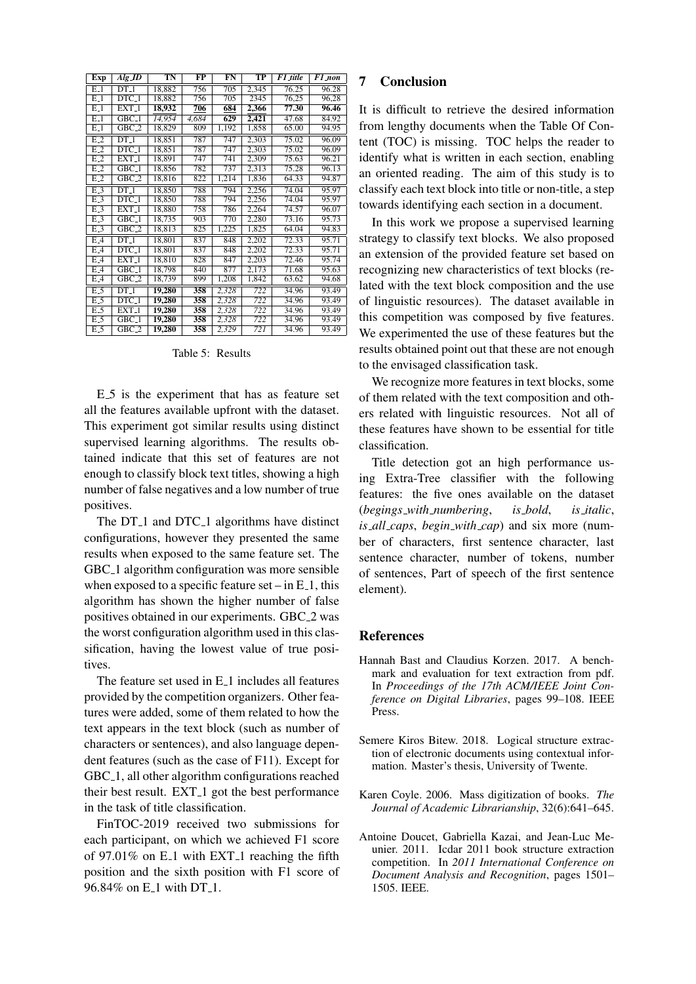<span id="page-3-5"></span>

| Exp      | Alg JD                        | $\overline{\text{TN}}$ | $\overline{\text{FP}}$ | $_{\rm FN}$ | $\overline{\text{TP}}$ | F1_title           | F1 non |
|----------|-------------------------------|------------------------|------------------------|-------------|------------------------|--------------------|--------|
| $E_{-}1$ | $DT_1$                        | 18,882                 | 756                    | 705         | 2,345                  | 76.25              | 96.28  |
| $E_1$    | $DTC_1$                       | 18,882                 | 756                    | 705         | 2345                   | 76,25              | 96,28  |
| $E_{-}1$ | $EXT_1$                       | 18,932                 | 706                    | 684         | 2,366                  | 77.30              | 96.46  |
| $E_1$    | $GBC_1$                       | 14,954                 | 4,684                  | 629         | 2,421                  | 47.68              | 84.92  |
| $E_1$    | $GBC_2$                       | 18,829                 | 809                    | 1,192       | 1,858                  | 65.00              | 94.95  |
| $E-2$    | $DT_1$                        | 18,851                 | 787                    | 747         | 2,303                  | 75.02              | 96.09  |
| $E-2$    | $DTC_1$                       | 18,851                 | 787                    | 747         | 2,303                  | $\overline{75.02}$ | 96.09  |
| $E_{-2}$ | EXT <sub>-1</sub>             | 18,891                 | 747                    | 741         | 2,309                  | 75.63              | 96.21  |
| E.2      | $GBC_1$                       | 18,856                 | 782                    | 737         | 2,313                  | 75.28              | 96.13  |
| $E-2$    | $GBC_2$                       | 18,816                 | 822                    | 1,214       | 1,836                  | 64.33              | 94.87  |
| $E-3$    | $DT_1$                        | 18,850                 | 788                    | 794         | 2,256                  | 74.04              | 95.97  |
| $E-3$    | $\overline{DTC}$ <sub>1</sub> | 18,850                 | 788                    | 794         | 2,256                  | 74.04              | 95.97  |
| $E-3$    | $EXT_1$                       | 18,880                 | 758                    | 786         | 2,264                  | 74.57              | 96.07  |
| $E-3$    | $GBC_1$                       | 18,735                 | 903                    | 770         | 2,280                  | 73.16              | 95.73  |
| E.3      | $GBC_2$                       | 18,813                 | 825                    | 1,225       | 1,825                  | 64.04              | 94.83  |
| $E-4$    | $DT_1$                        | 18,801                 | 837                    | 848         | 2,202                  | 72.33              | 95.71  |
| $E-4$    | $DTC_1$                       | 18,801                 | 837                    | 848         | 2,202                  | 72.33              | 95.71  |
| $E-4$    | $EXT_1$                       | 18,810                 | 828                    | 847         | 2,203                  | 72.46              | 95.74  |
| E.4      | $\overline{\text{GBC}}$ -1    | 18,798                 | 840                    | 877         | 2,173                  | 71.68              | 95.63  |
| $E-4$    | $GBC_2$                       | 18,739                 | 899                    | 1,208       | 1,842                  | 63.62              | 94.68  |
| $E_{-5}$ | $DT_1$                        | 19,280                 | 358                    | 2,328       | 722                    | 34.96              | 93.49  |
| $E_{-5}$ | $DTC_1$                       | 19,280                 | 358                    | 2,328       | 722                    | 34.96              | 93.49  |
| $E_{-5}$ | $EXT_1$                       | 19,280                 | 358                    | 2,328       | 722                    | 34.96              | 93.49  |
| $E_{-}5$ | $GBC_1$                       | 19,280                 | 358                    | 2,328       | 722                    | 34.96              | 93.49  |
| $E_{-}5$ | GBC_2                         | 19,280                 | 358                    | 2,329       | 721                    | 34.96              | 93.49  |

Table 5: Results

E 5 is the experiment that has as feature set all the features available upfront with the dataset. This experiment got similar results using distinct supervised learning algorithms. The results obtained indicate that this set of features are not enough to classify block text titles, showing a high number of false negatives and a low number of true positives.

The DT<sub>-1</sub> and DTC<sub>-1</sub> algorithms have distinct configurations, however they presented the same results when exposed to the same feature set. The GBC 1 algorithm configuration was more sensible when exposed to a specific feature set – in  $E_1$ , this algorithm has shown the higher number of false positives obtained in our experiments. GBC 2 was the worst configuration algorithm used in this classification, having the lowest value of true positives.

The feature set used in E<sub>-1</sub> includes all features provided by the competition organizers. Other features were added, some of them related to how the text appears in the text block (such as number of characters or sentences), and also language dependent features (such as the case of F11). Except for GBC<sub>-1</sub>, all other algorithm configurations reached their best result. EXT<sub>-1</sub> got the best performance in the task of title classification.

FinTOC-2019 received two submissions for each participant, on which we achieved F1 score of 97.01% on  $E_1$  with  $EXT_1$  reaching the fifth position and the sixth position with F1 score of 96.84% on E<sub>-1</sub> with DT<sub>-1</sub>.

### <span id="page-3-4"></span>7 Conclusion

It is difficult to retrieve the desired information from lengthy documents when the Table Of Content (TOC) is missing. TOC helps the reader to identify what is written in each section, enabling an oriented reading. The aim of this study is to classify each text block into title or non-title, a step towards identifying each section in a document.

In this work we propose a supervised learning strategy to classify text blocks. We also proposed an extension of the provided feature set based on recognizing new characteristics of text blocks (related with the text block composition and the use of linguistic resources). The dataset available in this competition was composed by five features. We experimented the use of these features but the results obtained point out that these are not enough to the envisaged classification task.

We recognize more features in text blocks, some of them related with the text composition and others related with linguistic resources. Not all of these features have shown to be essential for title classification.

Title detection got an high performance using Extra-Tree classifier with the following features: the five ones available on the dataset (*begings with numbering*, *is bold*, *is italic*, *is all caps*, *begin with cap*) and six more (number of characters, first sentence character, last sentence character, number of tokens, number of sentences, Part of speech of the first sentence element).

#### **References**

- <span id="page-3-2"></span>Hannah Bast and Claudius Korzen. 2017. A benchmark and evaluation for text extraction from pdf. In *Proceedings of the 17th ACM/IEEE Joint Conference on Digital Libraries*, pages 99–108. IEEE Press.
- <span id="page-3-3"></span>Semere Kiros Bitew. 2018. Logical structure extraction of electronic documents using contextual information. Master's thesis, University of Twente.
- <span id="page-3-0"></span>Karen Coyle. 2006. Mass digitization of books. *The Journal of Academic Librarianship*, 32(6):641–645.
- <span id="page-3-1"></span>Antoine Doucet, Gabriella Kazai, and Jean-Luc Meunier. 2011. Icdar 2011 book structure extraction competition. In *2011 International Conference on Document Analysis and Recognition*, pages 1501– 1505. IEEE.